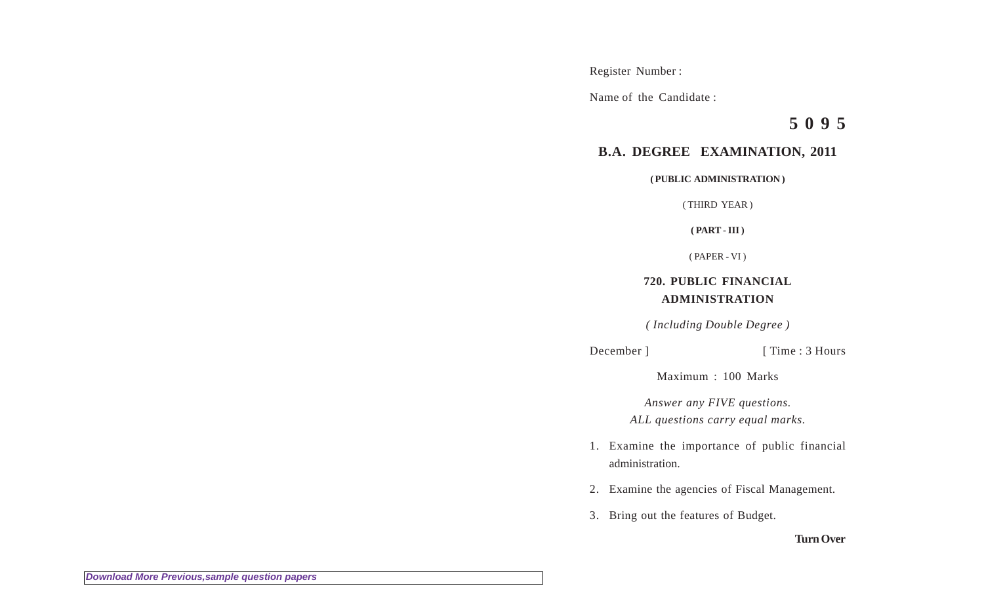Register Number :

Name of the Candidate :

**5 0 9 5**

## **B.A. DEGREE EXAMINATION, 2011**

**( PUBLIC ADMINISTRATION )**

( THIRD YEAR )

**( PART - III )**

( PAPER - VI )

## **720. PUBLIC FINANCIAL ADMINISTRATION**

*( Including Double Degree )*

## December ] [ Time : 3 Hours

Maximum : 100 Marks

*Answer any FIVE questions. ALL questions carry equal marks.*

- 1. Examine the importance of public financial administration.
- 2. Examine the agencies of Fiscal Management.
- 3. Bring out the features of Budget.

**Turn Over**